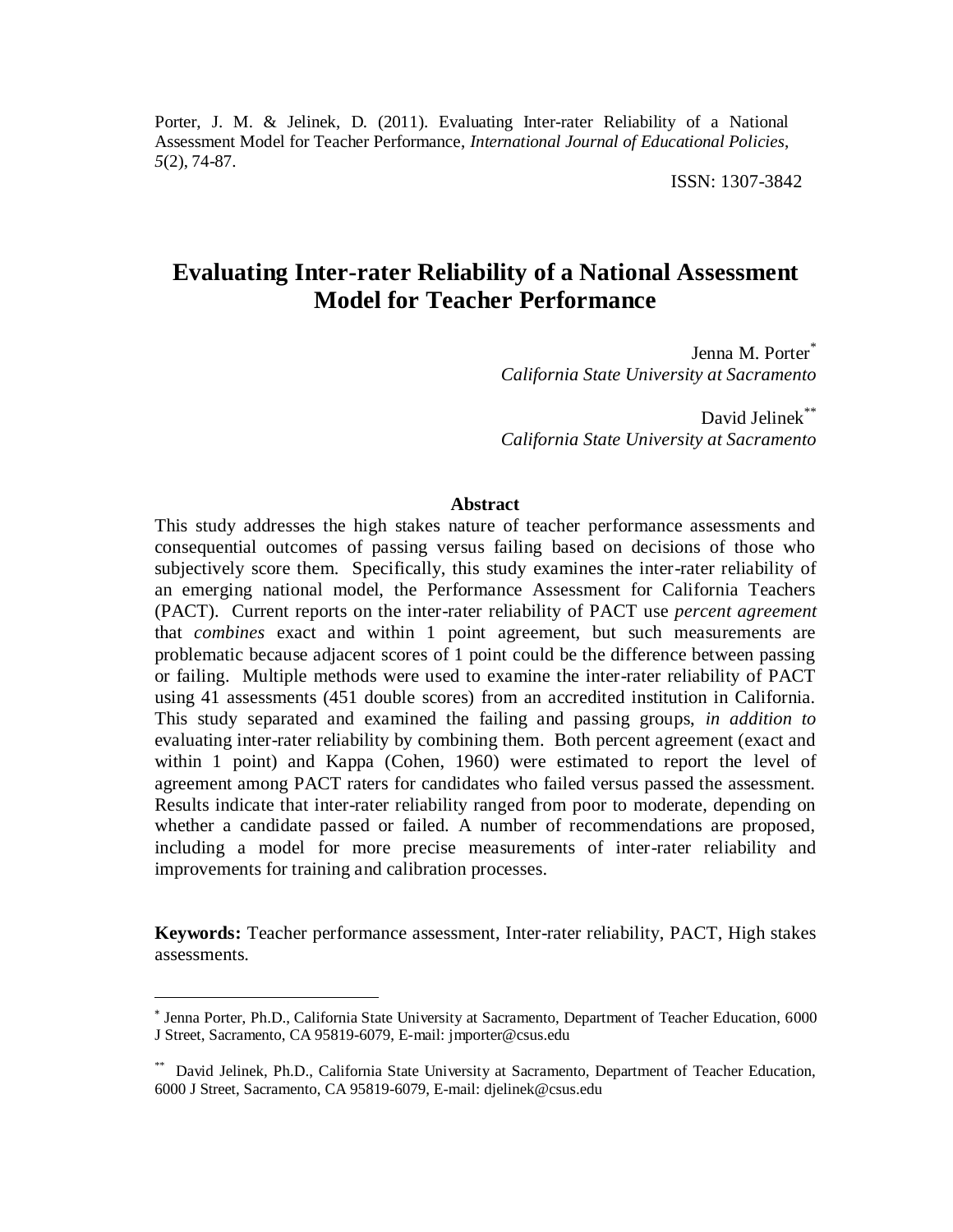Porter, J. M. & Jelinek, D. (2011). Evaluating Inter-rater Reliability of a National Assessment Model for Teacher Performance, *International Journal of Educational Policies*, *5*(2), 74-87.

ISSN: 1307-3842

# **Evaluating Inter-rater Reliability of a National Assessment Model for Teacher Performance**

Jenna M. Porter<sup>\*</sup> *California State University at Sacramento*

David Jelinek\*\* *California State University at Sacramento*

#### **Abstract**

This study addresses the high stakes nature of teacher performance assessments and consequential outcomes of passing versus failing based on decisions of those who subjectively score them. Specifically, this study examines the inter-rater reliability of an emerging national model, the Performance Assessment for California Teachers (PACT). Current reports on the inter-rater reliability of PACT use *percent agreement* that *combines* exact and within 1 point agreement, but such measurements are problematic because adjacent scores of 1 point could be the difference between passing or failing. Multiple methods were used to examine the inter-rater reliability of PACT using 41 assessments (451 double scores) from an accredited institution in California. This study separated and examined the failing and passing groups, *in addition to* evaluating inter-rater reliability by combining them. Both percent agreement (exact and within 1 point) and Kappa (Cohen, 1960) were estimated to report the level of agreement among PACT raters for candidates who failed versus passed the assessment. Results indicate that inter-rater reliability ranged from poor to moderate, depending on whether a candidate passed or failed. A number of recommendations are proposed, including a model for more precise measurements of inter-rater reliability and improvements for training and calibration processes.

**Keywords:** Teacher performance assessment, Inter-rater reliability, PACT, High stakes assessments.

l

<sup>\*</sup> Jenna Porter, Ph.D., California State University at Sacramento, Department of Teacher Education, 6000 J Street, Sacramento, CA 95819-6079, E-mail: jmporter@csus.edu

<sup>\*\*</sup> David Jelinek, Ph.D., California State University at Sacramento, Department of Teacher Education, 6000 J Street, Sacramento, CA 95819-6079, E-mail: djelinek@csus.edu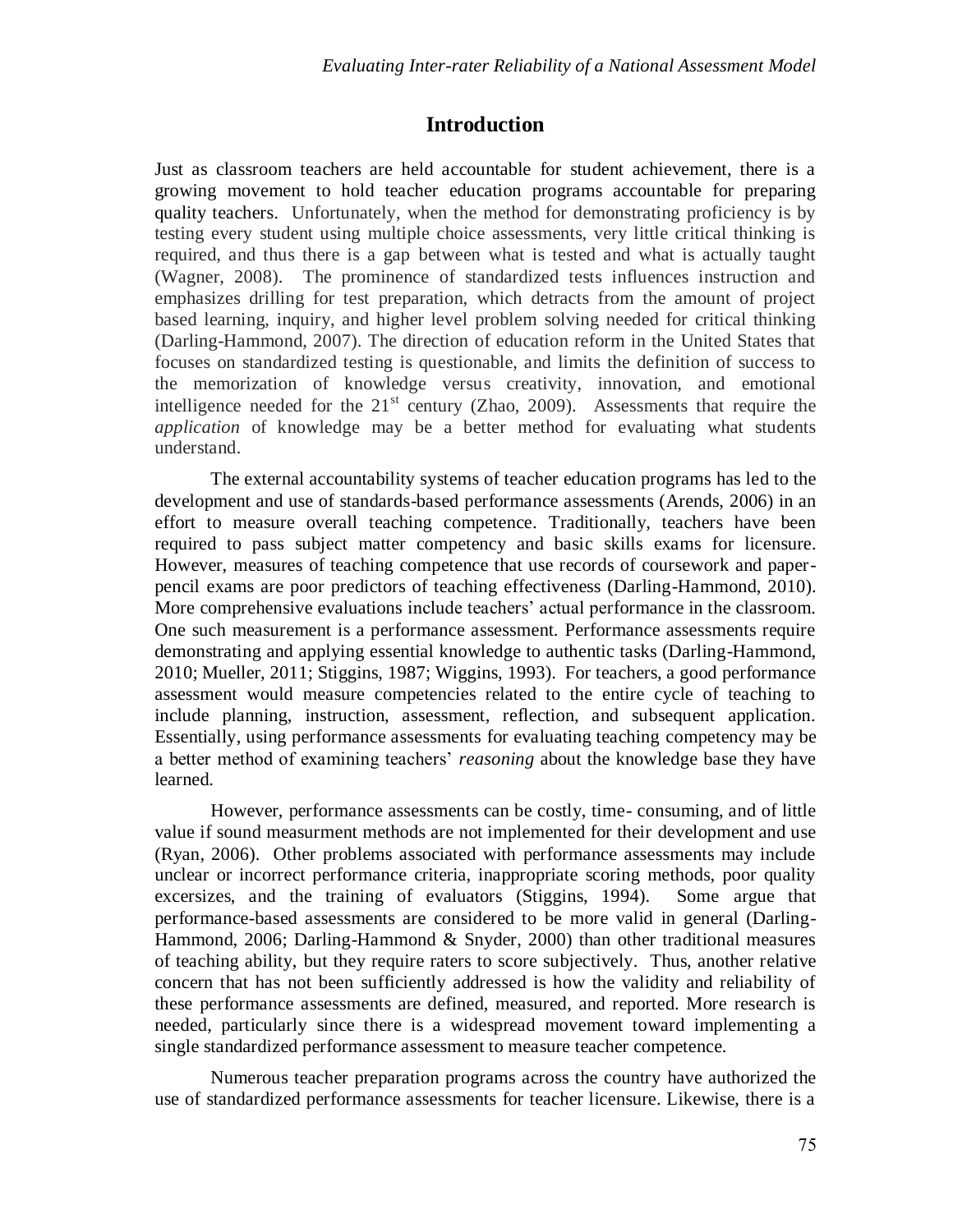### **Introduction**

Just as classroom teachers are held accountable for student achievement, there is a growing movement to hold teacher education programs accountable for preparing quality teachers. Unfortunately, when the method for demonstrating proficiency is by testing every student using multiple choice assessments, very little critical thinking is required, and thus there is a gap between what is tested and what is actually taught (Wagner, 2008). The prominence of standardized tests influences instruction and emphasizes drilling for test preparation, which detracts from the amount of project based learning, inquiry, and higher level problem solving needed for critical thinking (Darling-Hammond, 2007). The direction of education reform in the United States that focuses on standardized testing is questionable, and limits the definition of success to the memorization of knowledge versus creativity, innovation, and emotional intelligence needed for the  $21<sup>st</sup>$  century (Zhao, 2009). Assessments that require the *application* of knowledge may be a better method for evaluating what students understand.

The external accountability systems of teacher education programs has led to the development and use of standards-based performance assessments (Arends, 2006) in an effort to measure overall teaching competence. Traditionally, teachers have been required to pass subject matter competency and basic skills exams for licensure. However, measures of teaching competence that use records of coursework and paperpencil exams are poor predictors of teaching effectiveness (Darling-Hammond, 2010). More comprehensive evaluations include teachers' actual performance in the classroom. One such measurement is a performance assessment. Performance assessments require demonstrating and applying essential knowledge to authentic tasks (Darling-Hammond, 2010; Mueller, 2011; Stiggins, 1987; Wiggins, 1993). For teachers, a good performance assessment would measure competencies related to the entire cycle of teaching to include planning, instruction, assessment, reflection, and subsequent application. Essentially, using performance assessments for evaluating teaching competency may be a better method of examining teachers' *reasoning* about the knowledge base they have learned.

However, performance assessments can be costly, time- consuming, and of little value if sound measurment methods are not implemented for their development and use (Ryan, 2006). Other problems associated with performance assessments may include unclear or incorrect performance criteria, inappropriate scoring methods, poor quality excersizes, and the training of evaluators (Stiggins, 1994). Some argue that performance-based assessments are considered to be more valid in general (Darling-Hammond, 2006; Darling-Hammond & Snyder, 2000) than other traditional measures of teaching ability, but they require raters to score subjectively. Thus, another relative concern that has not been sufficiently addressed is how the validity and reliability of these performance assessments are defined, measured, and reported. More research is needed, particularly since there is a widespread movement toward implementing a single standardized performance assessment to measure teacher competence.

Numerous teacher preparation programs across the country have authorized the use of standardized performance assessments for teacher licensure. Likewise, there is a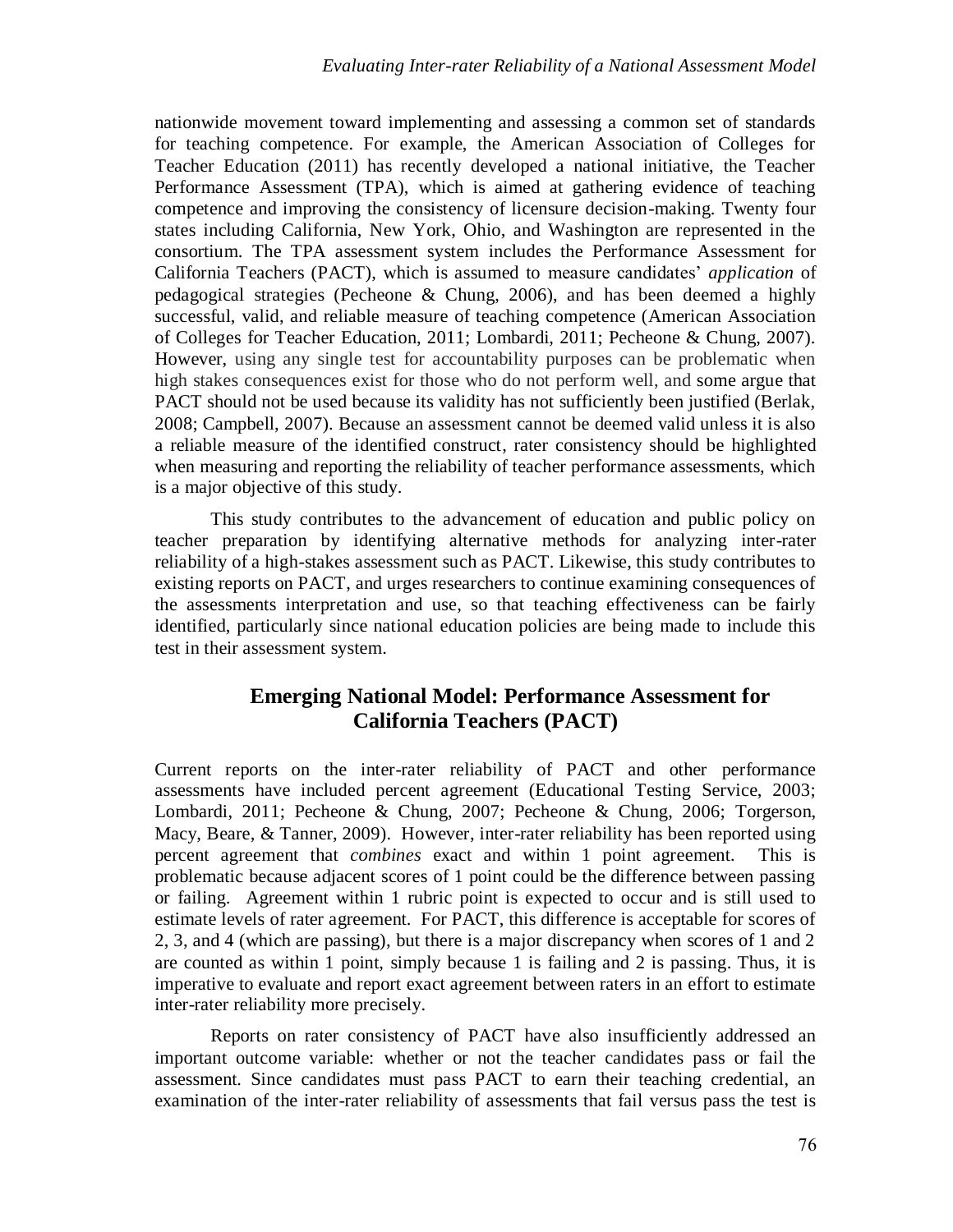nationwide movement toward implementing and assessing a common set of standards for teaching competence. For example, the American Association of Colleges for Teacher Education (2011) has recently developed a national initiative, the Teacher Performance Assessment (TPA), which is aimed at gathering evidence of teaching competence and improving the consistency of licensure decision-making. Twenty four states including California, New York, Ohio, and Washington are represented in the consortium. The TPA assessment system includes the Performance Assessment for California Teachers (PACT), which is assumed to measure candidates' *application* of pedagogical strategies (Pecheone & Chung, 2006), and has been deemed a highly successful, valid, and reliable measure of teaching competence (American Association of Colleges for Teacher Education, 2011; Lombardi, 2011; Pecheone & Chung, 2007). However, using any single test for accountability purposes can be problematic when high stakes consequences exist for those who do not perform well, and some argue that PACT should not be used because its validity has not sufficiently been justified (Berlak, 2008; Campbell, 2007). Because an assessment cannot be deemed valid unless it is also a reliable measure of the identified construct, rater consistency should be highlighted when measuring and reporting the reliability of teacher performance assessments, which is a major objective of this study.

This study contributes to the advancement of education and public policy on teacher preparation by identifying alternative methods for analyzing inter-rater reliability of a high-stakes assessment such as PACT. Likewise, this study contributes to existing reports on PACT, and urges researchers to continue examining consequences of the assessments interpretation and use, so that teaching effectiveness can be fairly identified, particularly since national education policies are being made to include this test in their assessment system.

### **Emerging National Model: Performance Assessment for California Teachers (PACT)**

Current reports on the inter-rater reliability of PACT and other performance assessments have included percent agreement (Educational Testing Service, 2003; Lombardi, 2011; Pecheone & Chung, 2007; Pecheone & Chung, 2006; Torgerson, Macy, Beare, & Tanner, 2009). However, inter-rater reliability has been reported using percent agreement that *combines* exact and within 1 point agreement. This is problematic because adjacent scores of 1 point could be the difference between passing or failing. Agreement within 1 rubric point is expected to occur and is still used to estimate levels of rater agreement. For PACT, this difference is acceptable for scores of 2, 3, and 4 (which are passing), but there is a major discrepancy when scores of 1 and 2 are counted as within 1 point, simply because 1 is failing and 2 is passing. Thus, it is imperative to evaluate and report exact agreement between raters in an effort to estimate inter-rater reliability more precisely.

Reports on rater consistency of PACT have also insufficiently addressed an important outcome variable: whether or not the teacher candidates pass or fail the assessment. Since candidates must pass PACT to earn their teaching credential, an examination of the inter-rater reliability of assessments that fail versus pass the test is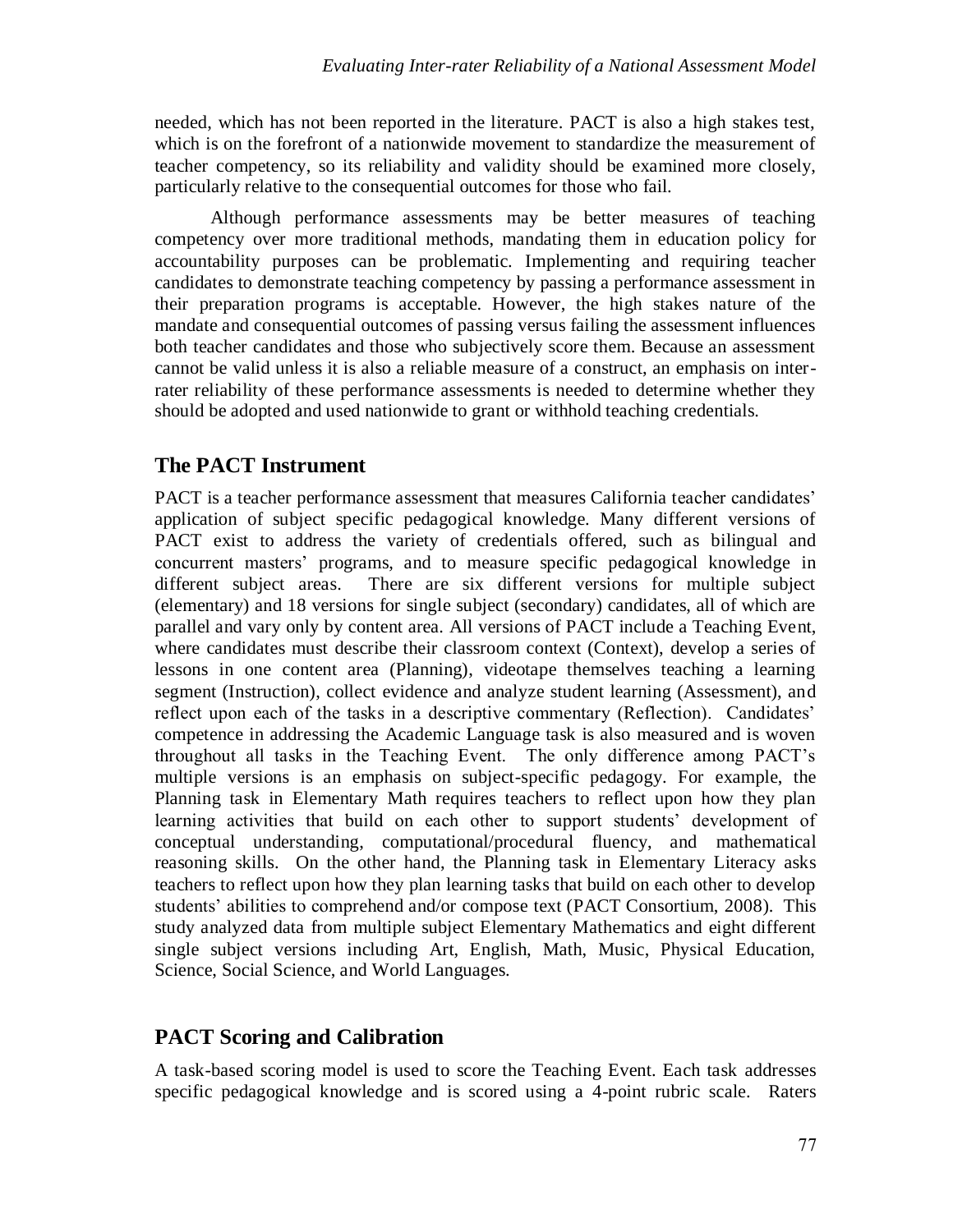needed, which has not been reported in the literature. PACT is also a high stakes test, which is on the forefront of a nationwide movement to standardize the measurement of teacher competency, so its reliability and validity should be examined more closely, particularly relative to the consequential outcomes for those who fail.

Although performance assessments may be better measures of teaching competency over more traditional methods, mandating them in education policy for accountability purposes can be problematic. Implementing and requiring teacher candidates to demonstrate teaching competency by passing a performance assessment in their preparation programs is acceptable. However, the high stakes nature of the mandate and consequential outcomes of passing versus failing the assessment influences both teacher candidates and those who subjectively score them. Because an assessment cannot be valid unless it is also a reliable measure of a construct, an emphasis on interrater reliability of these performance assessments is needed to determine whether they should be adopted and used nationwide to grant or withhold teaching credentials.

## **The PACT Instrument**

PACT is a teacher performance assessment that measures California teacher candidates' application of subject specific pedagogical knowledge. Many different versions of PACT exist to address the variety of credentials offered, such as bilingual and concurrent masters' programs, and to measure specific pedagogical knowledge in different subject areas. There are six different versions for multiple subject (elementary) and 18 versions for single subject (secondary) candidates, all of which are parallel and vary only by content area. All versions of PACT include a Teaching Event, where candidates must describe their classroom context (Context), develop a series of lessons in one content area (Planning), videotape themselves teaching a learning segment (Instruction), collect evidence and analyze student learning (Assessment), and reflect upon each of the tasks in a descriptive commentary (Reflection). Candidates' competence in addressing the Academic Language task is also measured and is woven throughout all tasks in the Teaching Event. The only difference among PACT's multiple versions is an emphasis on subject-specific pedagogy. For example, the Planning task in Elementary Math requires teachers to reflect upon how they plan learning activities that build on each other to support students' development of conceptual understanding, computational/procedural fluency, and mathematical reasoning skills. On the other hand, the Planning task in Elementary Literacy asks teachers to reflect upon how they plan learning tasks that build on each other to develop students' abilities to comprehend and/or compose text (PACT Consortium, 2008). This study analyzed data from multiple subject Elementary Mathematics and eight different single subject versions including Art, English, Math, Music, Physical Education, Science, Social Science, and World Languages.

# **PACT Scoring and Calibration**

A task-based scoring model is used to score the Teaching Event. Each task addresses specific pedagogical knowledge and is scored using a 4-point rubric scale. Raters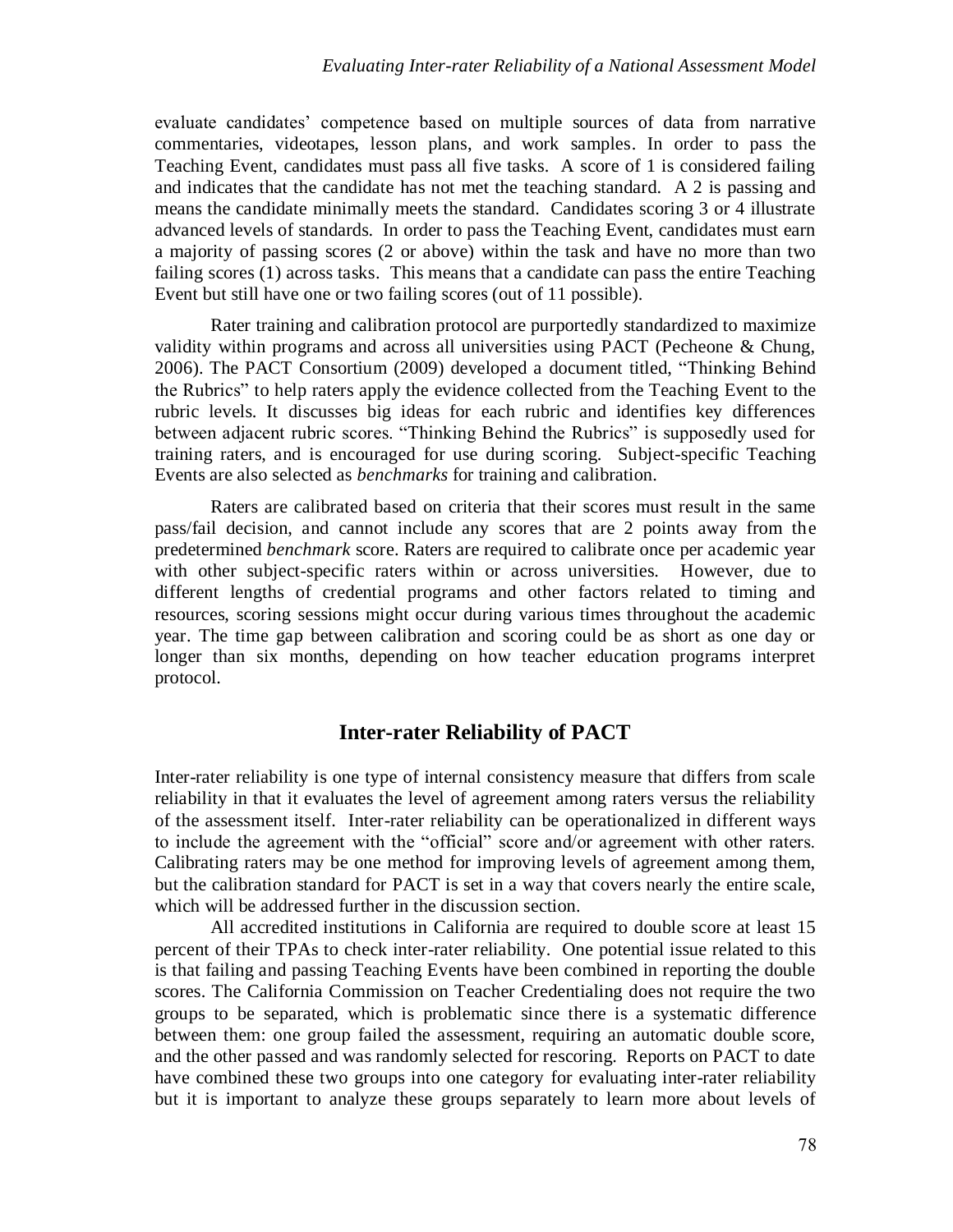evaluate candidates' competence based on multiple sources of data from narrative commentaries, videotapes, lesson plans, and work samples. In order to pass the Teaching Event, candidates must pass all five tasks. A score of 1 is considered failing and indicates that the candidate has not met the teaching standard. A 2 is passing and means the candidate minimally meets the standard. Candidates scoring 3 or 4 illustrate advanced levels of standards. In order to pass the Teaching Event, candidates must earn a majority of passing scores (2 or above) within the task and have no more than two failing scores (1) across tasks. This means that a candidate can pass the entire Teaching Event but still have one or two failing scores (out of 11 possible).

Rater training and calibration protocol are purportedly standardized to maximize validity within programs and across all universities using PACT (Pecheone & Chung, 2006). The PACT Consortium (2009) developed a document titled, "Thinking Behind the Rubrics" to help raters apply the evidence collected from the Teaching Event to the rubric levels. It discusses big ideas for each rubric and identifies key differences between adjacent rubric scores. "Thinking Behind the Rubrics" is supposedly used for training raters, and is encouraged for use during scoring. Subject-specific Teaching Events are also selected as *benchmarks* for training and calibration.

Raters are calibrated based on criteria that their scores must result in the same pass/fail decision, and cannot include any scores that are 2 points away from the predetermined *benchmark* score. Raters are required to calibrate once per academic year with other subject-specific raters within or across universities. However, due to different lengths of credential programs and other factors related to timing and resources, scoring sessions might occur during various times throughout the academic year. The time gap between calibration and scoring could be as short as one day or longer than six months, depending on how teacher education programs interpret protocol.

### **Inter-rater Reliability of PACT**

Inter-rater reliability is one type of internal consistency measure that differs from scale reliability in that it evaluates the level of agreement among raters versus the reliability of the assessment itself. Inter-rater reliability can be operationalized in different ways to include the agreement with the "official" score and/or agreement with other raters. Calibrating raters may be one method for improving levels of agreement among them, but the calibration standard for PACT is set in a way that covers nearly the entire scale, which will be addressed further in the discussion section.

All accredited institutions in California are required to double score at least 15 percent of their TPAs to check inter-rater reliability. One potential issue related to this is that failing and passing Teaching Events have been combined in reporting the double scores. The California Commission on Teacher Credentialing does not require the two groups to be separated, which is problematic since there is a systematic difference between them: one group failed the assessment, requiring an automatic double score, and the other passed and was randomly selected for rescoring. Reports on PACT to date have combined these two groups into one category for evaluating inter-rater reliability but it is important to analyze these groups separately to learn more about levels of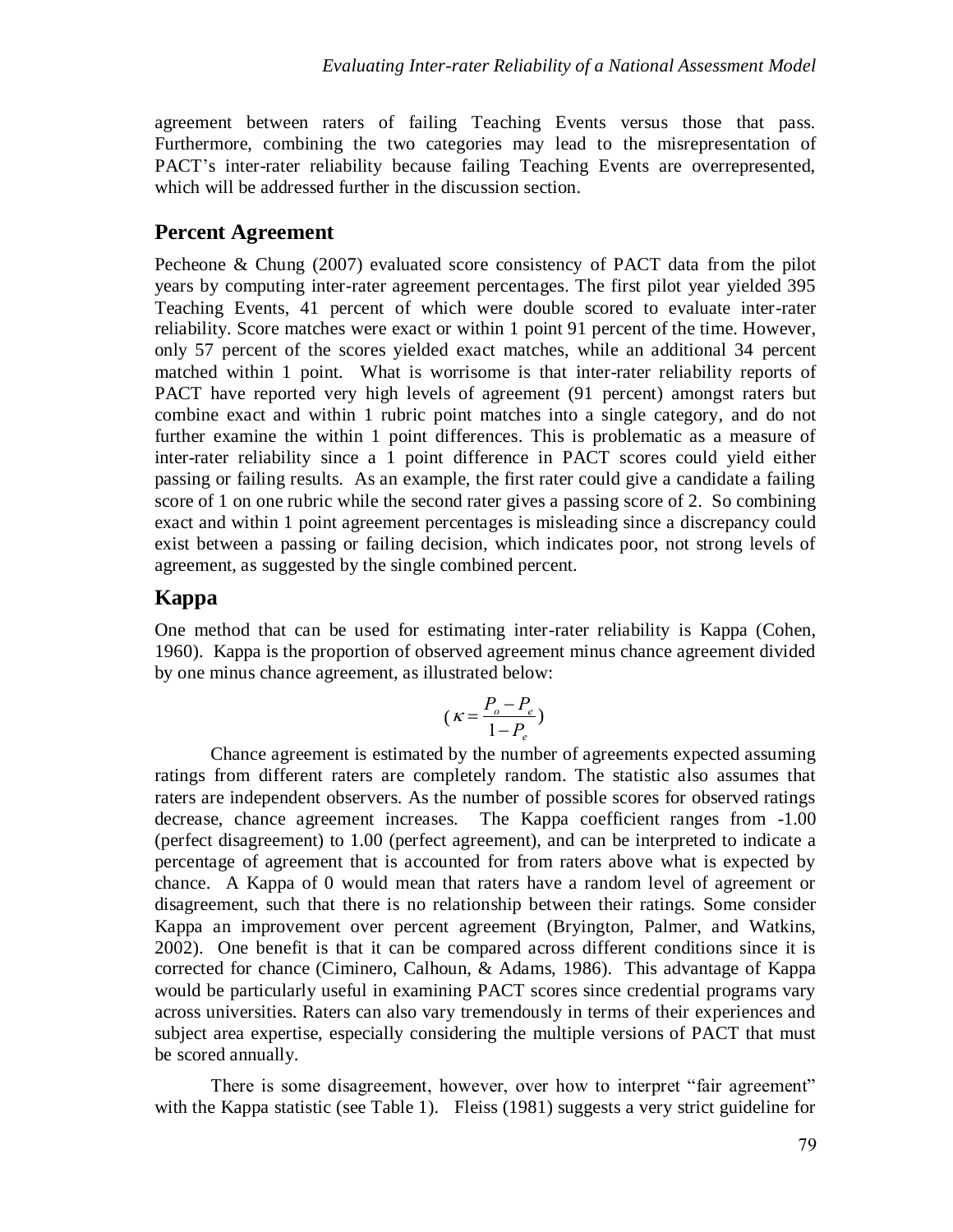agreement between raters of failing Teaching Events versus those that pass. Furthermore, combining the two categories may lead to the misrepresentation of PACT's inter-rater reliability because failing Teaching Events are overrepresented, which will be addressed further in the discussion section.

#### **Percent Agreement**

Pecheone & Chung (2007) evaluated score consistency of PACT data from the pilot years by computing inter-rater agreement percentages. The first pilot year yielded 395 Teaching Events, 41 percent of which were double scored to evaluate inter-rater reliability. Score matches were exact or within 1 point 91 percent of the time. However, only 57 percent of the scores yielded exact matches, while an additional 34 percent matched within 1 point. What is worrisome is that inter-rater reliability reports of PACT have reported very high levels of agreement (91 percent) amongst raters but combine exact and within 1 rubric point matches into a single category, and do not further examine the within 1 point differences. This is problematic as a measure of inter-rater reliability since a 1 point difference in PACT scores could yield either passing or failing results. As an example, the first rater could give a candidate a failing score of 1 on one rubric while the second rater gives a passing score of 2. So combining exact and within 1 point agreement percentages is misleading since a discrepancy could exist between a passing or failing decision, which indicates poor, not strong levels of agreement, as suggested by the single combined percent.

#### **Kappa**

One method that can be used for estimating inter-rater reliability is Kappa (Cohen, 1960). Kappa is the proportion of observed agreement minus chance agreement divided by one minus chance agreement, as illustrated below:

$$
(\kappa = \frac{P_o - P_e}{1 - P_e})
$$

 decrease, chance agreement increases. The Kappa coefficient ranges from -1.00 Chance agreement is estimated by the number of agreements expected assuming ratings from different raters are completely random. The statistic also assumes that raters are independent observers. As the number of possible scores for observed ratings (perfect disagreement) to 1.00 (perfect agreement), and can be interpreted to indicate a percentage of agreement that is accounted for from raters above what is expected by chance. A Kappa of 0 would mean that raters have a random level of agreement or disagreement, such that there is no relationship between their ratings. Some consider Kappa an improvement over percent agreement (Bryington, Palmer, and Watkins, 2002). One benefit is that it can be compared across different conditions since it is corrected for chance (Ciminero, Calhoun, & Adams, 1986). This advantage of Kappa would be particularly useful in examining PACT scores since credential programs vary across universities. Raters can also vary tremendously in terms of their experiences and subject area expertise, especially considering the multiple versions of PACT that must be scored annually.

There is some disagreement, however, over how to interpret "fair agreement" with the Kappa statistic (see Table 1). Fleiss (1981) suggests a very strict guideline for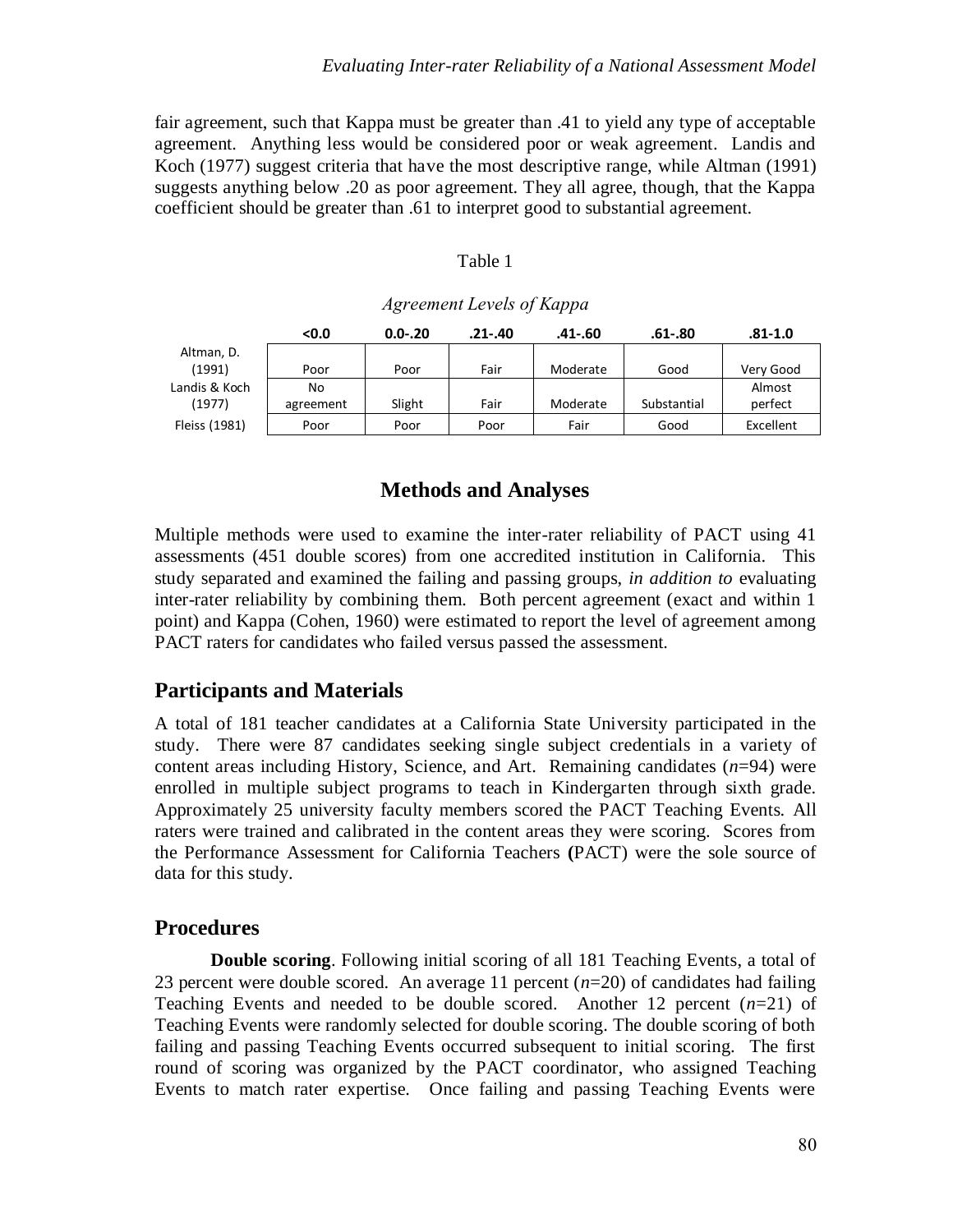fair agreement, such that Kappa must be greater than .41 to yield any type of acceptable agreement. Anything less would be considered poor or weak agreement. Landis and Koch (1977) suggest criteria that have the most descriptive range, while Altman (1991) suggests anything below .20 as poor agreement. They all agree, though, that the Kappa coefficient should be greater than .61 to interpret good to substantial agreement.

| `able |  |
|-------|--|
|-------|--|

|               | <0.0      | $0.0 - 20$ | $.21 - .40$ | .41-.60  | .61-.80     | .81-1.0   |
|---------------|-----------|------------|-------------|----------|-------------|-----------|
| Altman, D.    |           |            |             |          |             |           |
| (1991)        | Poor      | Poor       | Fair        | Moderate | Good        | Very Good |
| Landis & Koch | No        |            |             |          |             | Almost    |
| (1977)        | agreement | Slight     | Fair        | Moderate | Substantial | perfect   |
| Fleiss (1981) | Poor      | Poor       | Poor        | Fair     | Good        | Excellent |

#### *Agreement Levels of Kappa*

### **Methods and Analyses**

Multiple methods were used to examine the inter-rater reliability of PACT using 41 assessments (451 double scores) from one accredited institution in California. This study separated and examined the failing and passing groups, *in addition to* evaluating inter-rater reliability by combining them. Both percent agreement (exact and within 1 point) and Kappa (Cohen, 1960) were estimated to report the level of agreement among PACT raters for candidates who failed versus passed the assessment.

#### **Participants and Materials**

A total of 181 teacher candidates at a California State University participated in the study. There were 87 candidates seeking single subject credentials in a variety of content areas including History, Science, and Art. Remaining candidates (*n*=94) were enrolled in multiple subject programs to teach in Kindergarten through sixth grade. Approximately 25 university faculty members scored the PACT Teaching Events. All raters were trained and calibrated in the content areas they were scoring. Scores from the Performance Assessment for California Teachers **(**PACT) were the sole source of data for this study.

### **Procedures**

**Double scoring**. Following initial scoring of all 181 Teaching Events, a total of 23 percent were double scored. An average 11 percent (*n*=20) of candidates had failing Teaching Events and needed to be double scored. Another 12 percent (*n*=21) of Teaching Events were randomly selected for double scoring. The double scoring of both failing and passing Teaching Events occurred subsequent to initial scoring. The first round of scoring was organized by the PACT coordinator, who assigned Teaching Events to match rater expertise. Once failing and passing Teaching Events were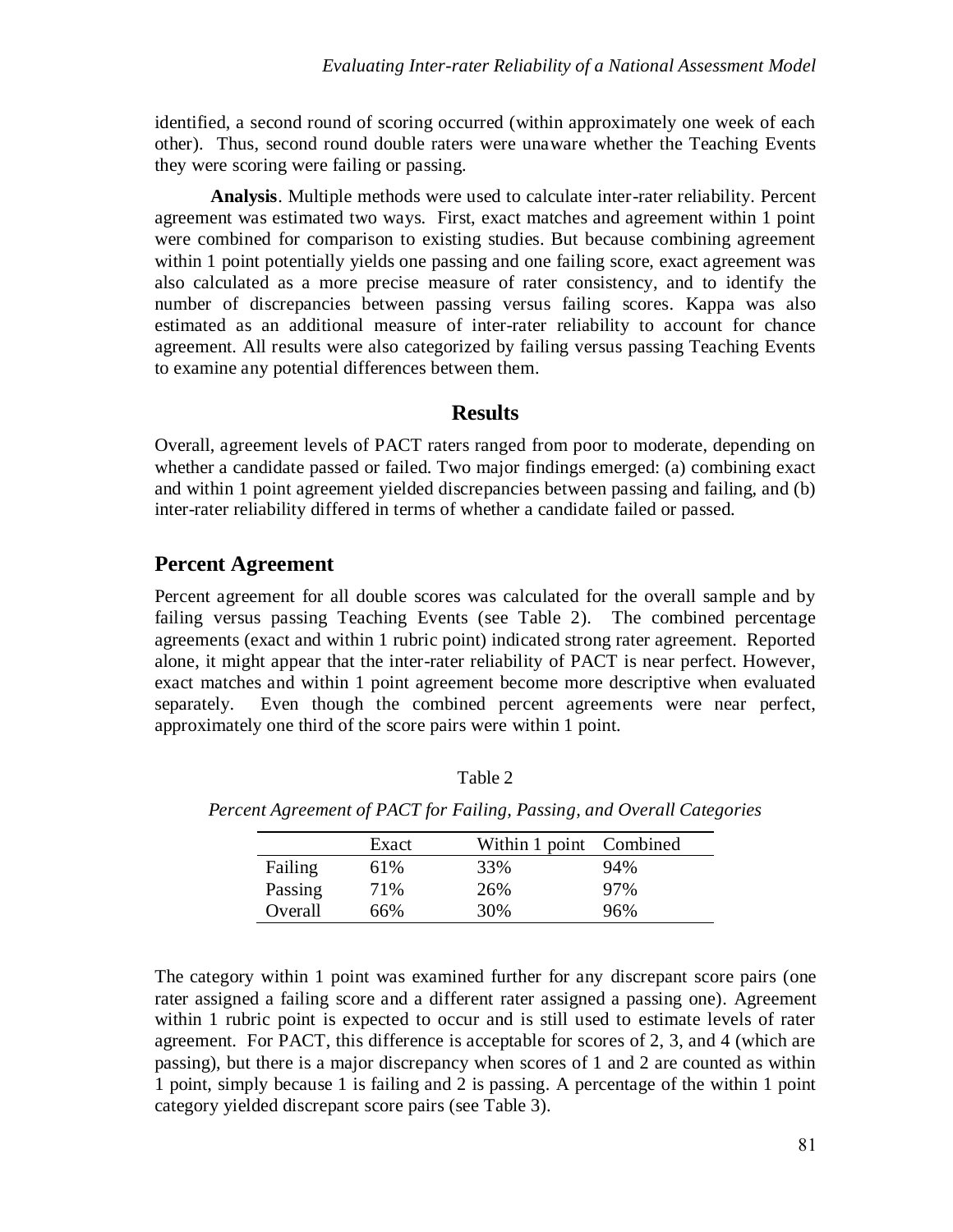identified, a second round of scoring occurred (within approximately one week of each other). Thus, second round double raters were unaware whether the Teaching Events they were scoring were failing or passing.

**Analysis**. Multiple methods were used to calculate inter-rater reliability. Percent agreement was estimated two ways. First, exact matches and agreement within 1 point were combined for comparison to existing studies. But because combining agreement within 1 point potentially yields one passing and one failing score, exact agreement was also calculated as a more precise measure of rater consistency, and to identify the number of discrepancies between passing versus failing scores. Kappa was also estimated as an additional measure of inter-rater reliability to account for chance agreement. All results were also categorized by failing versus passing Teaching Events to examine any potential differences between them.

### **Results**

Overall, agreement levels of PACT raters ranged from poor to moderate, depending on whether a candidate passed or failed. Two major findings emerged: (a) combining exact and within 1 point agreement yielded discrepancies between passing and failing, and (b) inter-rater reliability differed in terms of whether a candidate failed or passed.

### **Percent Agreement**

Percent agreement for all double scores was calculated for the overall sample and by failing versus passing Teaching Events (see Table 2). The combined percentage agreements (exact and within 1 rubric point) indicated strong rater agreement. Reported alone, it might appear that the inter-rater reliability of PACT is near perfect. However, exact matches and within 1 point agreement become more descriptive when evaluated separately. Even though the combined percent agreements were near perfect, approximately one third of the score pairs were within 1 point.

|         | Exact | Within 1 point Combined |     |
|---------|-------|-------------------------|-----|
| Failing | 61%   | 33%                     | 94% |
| Passing | 71%   | 26%                     | 97% |
| Overall | 66%   | 30%                     | 96% |

*Percent Agreement of PACT for Failing, Passing, and Overall Categories*

Table 2

The category within 1 point was examined further for any discrepant score pairs (one rater assigned a failing score and a different rater assigned a passing one). Agreement within 1 rubric point is expected to occur and is still used to estimate levels of rater agreement. For PACT, this difference is acceptable for scores of 2, 3, and 4 (which are passing), but there is a major discrepancy when scores of 1 and 2 are counted as within 1 point, simply because 1 is failing and 2 is passing. A percentage of the within 1 point category yielded discrepant score pairs (see Table 3).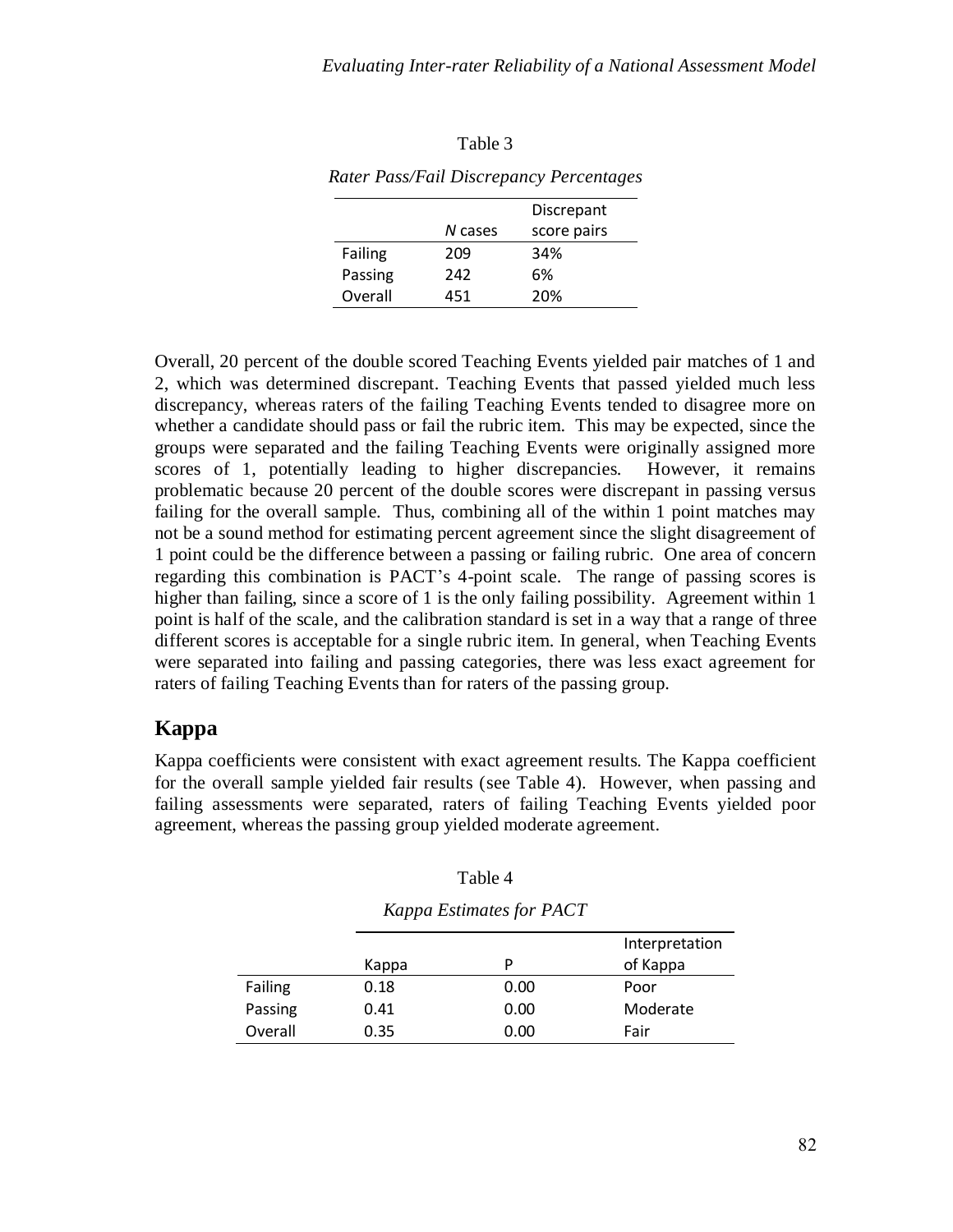|         |         | Discrepant  |  |
|---------|---------|-------------|--|
|         | N cases | score pairs |  |
| Failing | 209     | 34%         |  |
| Passing | 242     | 6%          |  |
| Overall | 451     | 20%         |  |

| l'able |  |
|--------|--|
|--------|--|

*Rater Pass/Fail Discrepancy Percentages*

Overall, 20 percent of the double scored Teaching Events yielded pair matches of 1 and 2, which was determined discrepant. Teaching Events that passed yielded much less discrepancy, whereas raters of the failing Teaching Events tended to disagree more on whether a candidate should pass or fail the rubric item. This may be expected, since the groups were separated and the failing Teaching Events were originally assigned more scores of 1, potentially leading to higher discrepancies. However, it remains problematic because 20 percent of the double scores were discrepant in passing versus failing for the overall sample. Thus, combining all of the within 1 point matches may not be a sound method for estimating percent agreement since the slight disagreement of 1 point could be the difference between a passing or failing rubric. One area of concern regarding this combination is PACT's 4-point scale. The range of passing scores is higher than failing, since a score of 1 is the only failing possibility. Agreement within 1 point is half of the scale, and the calibration standard is set in a way that a range of three different scores is acceptable for a single rubric item. In general, when Teaching Events were separated into failing and passing categories, there was less exact agreement for raters of failing Teaching Events than for raters of the passing group.

## **Kappa**

Kappa coefficients were consistent with exact agreement results. The Kappa coefficient for the overall sample yielded fair results (see Table 4). However, when passing and failing assessments were separated, raters of failing Teaching Events yielded poor agreement, whereas the passing group yielded moderate agreement.

| Table 4 |  |
|---------|--|
|---------|--|

|         |       |      | Interpretation |
|---------|-------|------|----------------|
|         | Kappa | D    | of Kappa       |
| Failing | 0.18  | 0.00 | Poor           |
| Passing | 0.41  | 0.00 | Moderate       |
| Overall | 0.35  | 0.00 | Fair           |

| Kappa Estimates for PACT |  |  |
|--------------------------|--|--|
|                          |  |  |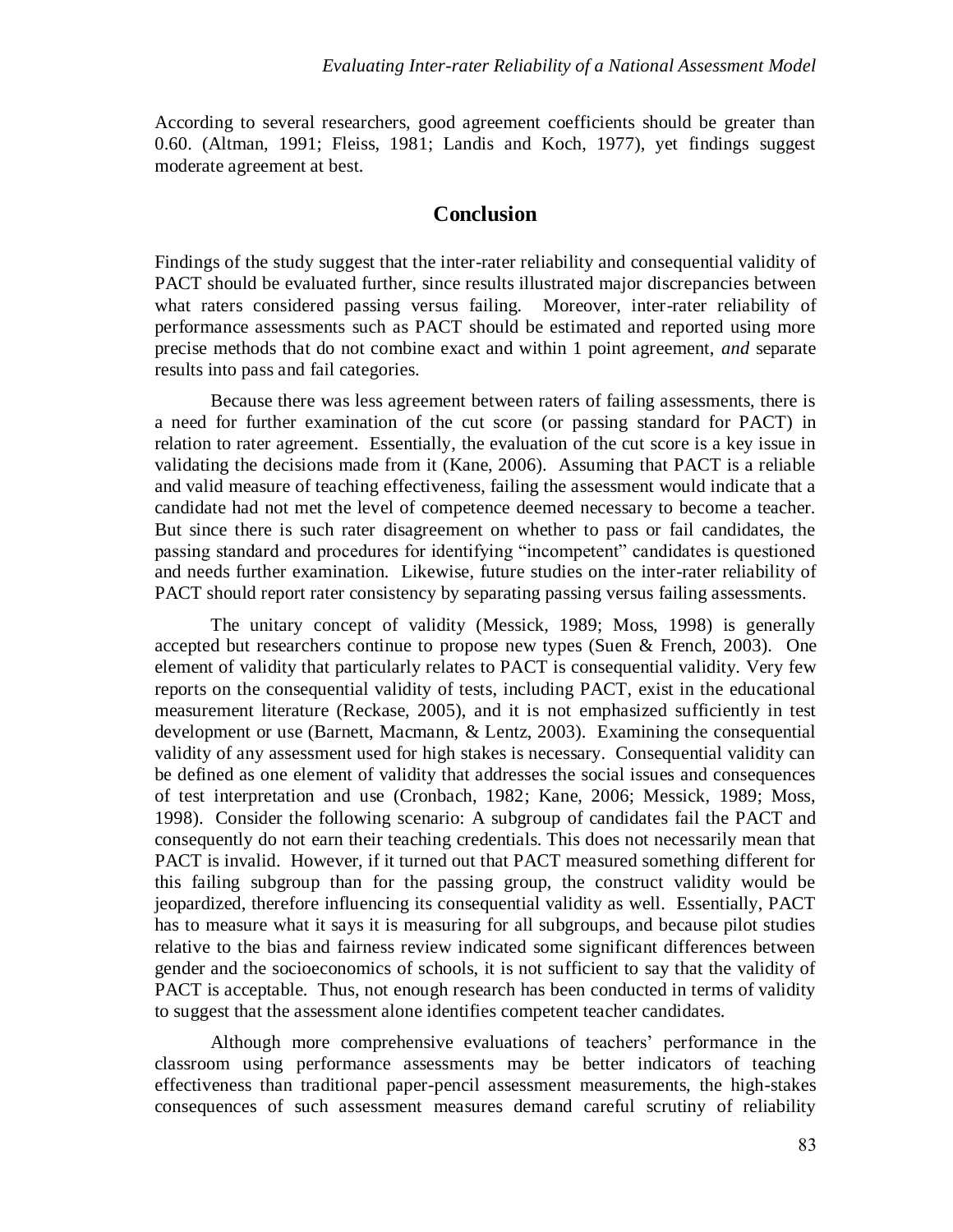According to several researchers, good agreement coefficients should be greater than 0.60. (Altman, 1991; Fleiss, 1981; Landis and Koch, 1977), yet findings suggest moderate agreement at best.

#### **Conclusion**

Findings of the study suggest that the inter-rater reliability and consequential validity of PACT should be evaluated further, since results illustrated major discrepancies between what raters considered passing versus failing. Moreover, inter-rater reliability of performance assessments such as PACT should be estimated and reported using more precise methods that do not combine exact and within 1 point agreement, *and* separate results into pass and fail categories.

Because there was less agreement between raters of failing assessments, there is a need for further examination of the cut score (or passing standard for PACT) in relation to rater agreement. Essentially, the evaluation of the cut score is a key issue in validating the decisions made from it (Kane, 2006). Assuming that PACT is a reliable and valid measure of teaching effectiveness, failing the assessment would indicate that a candidate had not met the level of competence deemed necessary to become a teacher. But since there is such rater disagreement on whether to pass or fail candidates, the passing standard and procedures for identifying "incompetent" candidates is questioned and needs further examination. Likewise, future studies on the inter-rater reliability of PACT should report rater consistency by separating passing versus failing assessments.

The unitary concept of validity (Messick, 1989; Moss, 1998) is generally accepted but researchers continue to propose new types (Suen & French, 2003). One element of validity that particularly relates to PACT is consequential validity. Very few reports on the consequential validity of tests, including PACT, exist in the educational measurement literature (Reckase, 2005), and it is not emphasized sufficiently in test development or use (Barnett, Macmann, & Lentz, 2003). Examining the consequential validity of any assessment used for high stakes is necessary. Consequential validity can be defined as one element of validity that addresses the social issues and consequences of test interpretation and use (Cronbach, 1982; Kane, 2006; Messick, 1989; Moss, 1998). Consider the following scenario: A subgroup of candidates fail the PACT and consequently do not earn their teaching credentials. This does not necessarily mean that PACT is invalid. However, if it turned out that PACT measured something different for this failing subgroup than for the passing group, the construct validity would be jeopardized, therefore influencing its consequential validity as well. Essentially, PACT has to measure what it says it is measuring for all subgroups, and because pilot studies relative to the bias and fairness review indicated some significant differences between gender and the socioeconomics of schools, it is not sufficient to say that the validity of PACT is acceptable. Thus, not enough research has been conducted in terms of validity to suggest that the assessment alone identifies competent teacher candidates.

Although more comprehensive evaluations of teachers' performance in the classroom using performance assessments may be better indicators of teaching effectiveness than traditional paper-pencil assessment measurements, the high-stakes consequences of such assessment measures demand careful scrutiny of reliability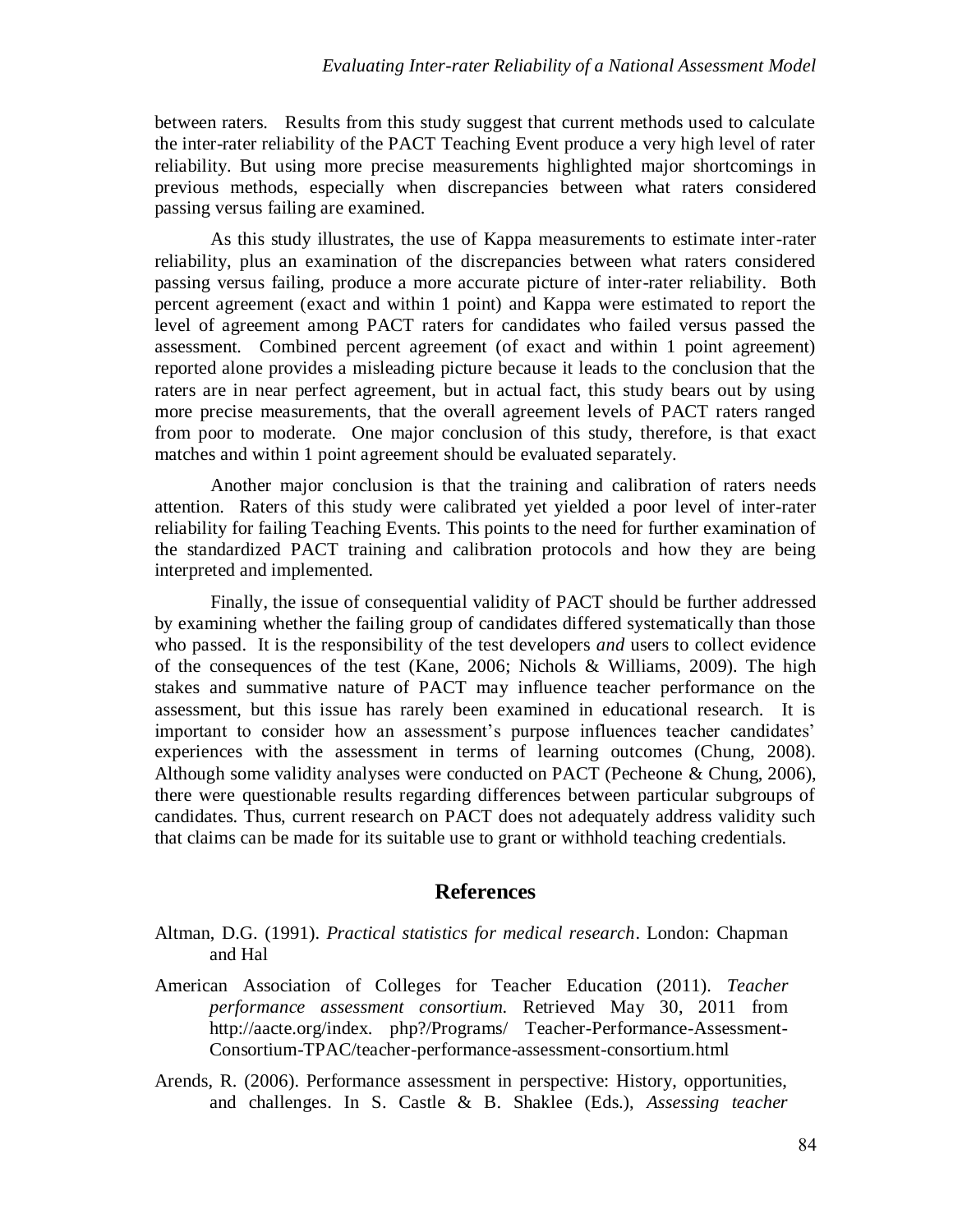between raters. Results from this study suggest that current methods used to calculate the inter-rater reliability of the PACT Teaching Event produce a very high level of rater reliability. But using more precise measurements highlighted major shortcomings in previous methods, especially when discrepancies between what raters considered passing versus failing are examined.

As this study illustrates, the use of Kappa measurements to estimate inter-rater reliability, plus an examination of the discrepancies between what raters considered passing versus failing, produce a more accurate picture of inter-rater reliability. Both percent agreement (exact and within 1 point) and Kappa were estimated to report the level of agreement among PACT raters for candidates who failed versus passed the assessment. Combined percent agreement (of exact and within 1 point agreement) reported alone provides a misleading picture because it leads to the conclusion that the raters are in near perfect agreement, but in actual fact, this study bears out by using more precise measurements, that the overall agreement levels of PACT raters ranged from poor to moderate. One major conclusion of this study, therefore, is that exact matches and within 1 point agreement should be evaluated separately.

Another major conclusion is that the training and calibration of raters needs attention. Raters of this study were calibrated yet yielded a poor level of inter-rater reliability for failing Teaching Events. This points to the need for further examination of the standardized PACT training and calibration protocols and how they are being interpreted and implemented.

Finally, the issue of consequential validity of PACT should be further addressed by examining whether the failing group of candidates differed systematically than those who passed. It is the responsibility of the test developers *and* users to collect evidence of the consequences of the test (Kane, 2006; Nichols & Williams, 2009). The high stakes and summative nature of PACT may influence teacher performance on the assessment, but this issue has rarely been examined in educational research. It is important to consider how an assessment's purpose influences teacher candidates' experiences with the assessment in terms of learning outcomes (Chung, 2008). Although some validity analyses were conducted on PACT (Pecheone & Chung, 2006), there were questionable results regarding differences between particular subgroups of candidates. Thus, current research on PACT does not adequately address validity such that claims can be made for its suitable use to grant or withhold teaching credentials.

#### **References**

- Altman, D.G. (1991). *Practical statistics for medical research*. London: Chapman and Hal
- American Association of Colleges for Teacher Education (2011). *Teacher performance assessment consortium.* Retrieved May 30, 2011 from http://aacte.org/index. php?/Programs/ Teacher-Performance-Assessment-Consortium-TPAC/teacher-performance-assessment-consortium.html
- Arends, R. (2006). Performance assessment in perspective: History, opportunities, and challenges. In S. Castle & B. Shaklee (Eds.), *Assessing teacher*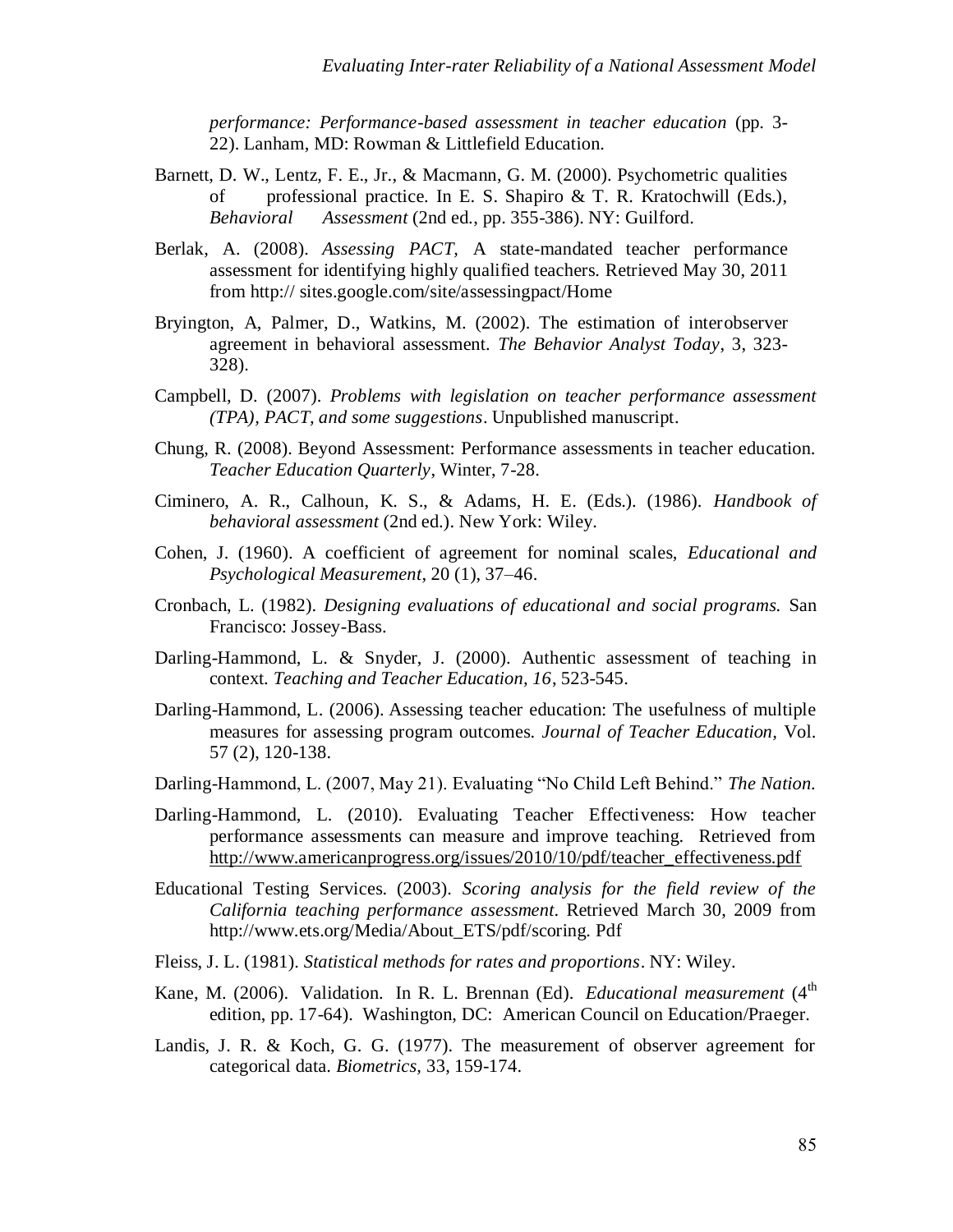*performance: Performance-based assessment in teacher education* (pp. 3- 22). Lanham, MD: Rowman & Littlefield Education.

- Barnett, D. W., Lentz, F. E., Jr., & Macmann, G. M. (2000). Psychometric qualities of professional practice. In E. S. Shapiro & T. R. Kratochwill (Eds.), *Behavioral Assessment* (2nd ed., pp. 355-386). NY: Guilford.
- Berlak, A. (2008). *Assessing PACT,* A state-mandated teacher performance assessment for identifying highly qualified teachers. Retrieved May 30, 2011 from http:// sites.google.com/site/assessingpact/Home
- Bryington, A, Palmer, D., Watkins, M. (2002). The estimation of interobserver agreement in behavioral assessment. *The Behavior Analyst Today*, 3, 323- 328).
- Campbell, D. (2007). *Problems with legislation on teacher performance assessment (TPA), PACT, and some suggestions*. Unpublished manuscript.
- Chung, R. (2008). Beyond Assessment: Performance assessments in teacher education. *Teacher Education Quarterly*, Winter, 7-28.
- Ciminero, A. R., Calhoun, K. S., & Adams, H. E. (Eds.). (1986). *Handbook of behavioral assessment* (2nd ed.). New York: Wiley.
- Cohen, J. (1960). A coefficient of agreement for nominal scales, *Educational and Psychological Measurement*, 20 (1), 37–46.
- Cronbach, L. (1982). *Designing evaluations of educational and social programs.* San Francisco: Jossey-Bass.
- Darling-Hammond, L. & Snyder, J. (2000). Authentic assessment of teaching in context. *Teaching and Teacher Education, 16*, 523-545.
- Darling-Hammond, L. (2006). Assessing teacher education: The usefulness of multiple measures for assessing program outcomes. *Journal of Teacher Education,* Vol. 57 (2), 120-138.
- Darling-Hammond, L. (2007, May 21). Evaluating "No Child Left Behind." *The Nation.*
- Darling-Hammond, L. (2010). Evaluating Teacher Effectiveness: How teacher performance assessments can measure and improve teaching. Retrieved from [http://www.americanprogress.org/issues/2010/10/pdf/teacher\\_effectiveness.pdf](http://www.americanprogress.org/issues/2010/10/pdf/teacher_effectiveness.pdf)
- Educational Testing Services. (2003). *Scoring analysis for the field review of the California teaching performance assessment*. Retrieved March 30, 2009 from http://www.ets.org/Media/About\_ETS/pdf/scoring. Pdf
- Fleiss, J. L. (1981). *Statistical methods for rates and proportions*. NY: Wiley.
- Kane, M. (2006). Validation. In R. L. Brennan (Ed). *Educational measurement* (4<sup>th</sup> edition, pp. 17-64). Washington, DC: American Council on Education/Praeger.
- Landis, J. R. & Koch, G. G. (1977). The measurement of observer agreement for categorical data. *Biometrics,* 33, 159-174.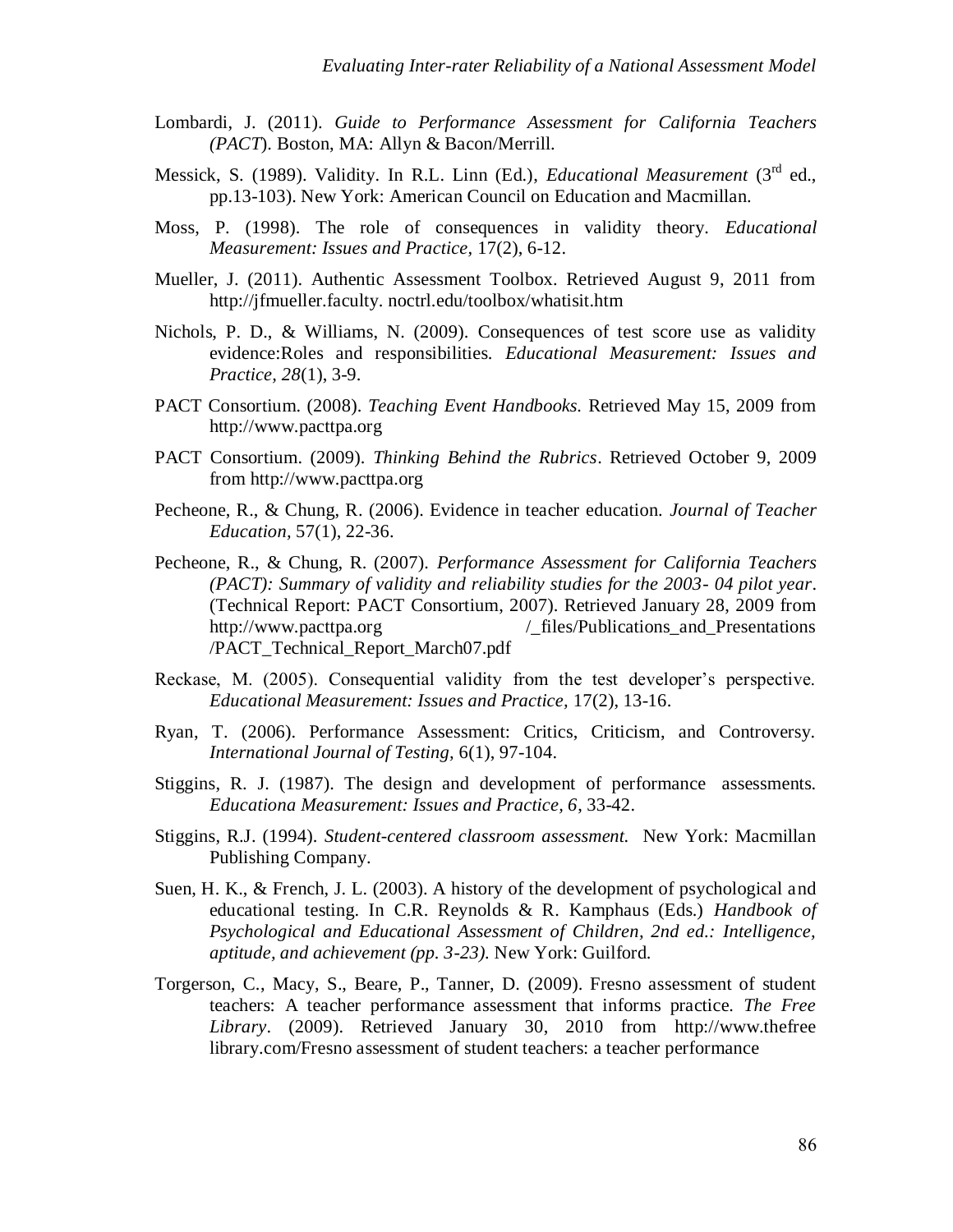- Lombardi, J. (2011). *Guide to Performance Assessment for California Teachers (PACT*). Boston, MA: Allyn & Bacon/Merrill.
- Messick, S. (1989). Validity. In R.L. Linn (Ed.), *Educational Measurement* (3<sup>rd</sup> ed., pp.13-103). New York: American Council on Education and Macmillan.
- Moss, P. (1998). The role of consequences in validity theory. *Educational Measurement: Issues and Practice,* 17(2), 6-12.
- Mueller, J. (2011). Authentic Assessment Toolbox. Retrieved August 9, 2011 from http://jfmueller.faculty. noctrl.edu/toolbox/whatisit.htm
- Nichols, P. D., & Williams, N. (2009). Consequences of test score use as validity evidence:Roles and responsibilities. *Educational Measurement: Issues and Practice, 28*(1), 3-9.
- PACT Consortium. (2008). *Teaching Event Handbooks.* Retrieved May 15, 2009 from [http://www.pacttpa.org](http://www.pacttpa.org/)
- PACT Consortium. (2009). *Thinking Behind the Rubrics*. Retrieved October 9, 2009 from [http://www.pacttpa.org](http://www.pacttpa.org/)
- Pecheone, R., & Chung, R. (2006). Evidence in teacher education. *Journal of Teacher Education,* 57(1), 22-36.
- Pecheone, R., & Chung, R. (2007). *Performance Assessment for California Teachers (PACT): Summary of validity and reliability studies for the 2003- 04 pilot year*. (Technical Report: PACT Consortium, 2007). Retrieved January 28, 2009 from http://www.pacttpa.org /\_files/Publications\_and\_Presentations /PACT\_Technical\_Report\_March07.pdf
- Reckase, M. (2005). Consequential validity from the test developer's perspective. *Educational Measurement: Issues and Practice,* 17(2), 13-16.
- Ryan, T. (2006). Performance Assessment: Critics, Criticism, and Controversy. *International Journal of Testing,* 6(1), 97-104.
- Stiggins, R. J. (1987). The design and development of performance assessments. *Educationa Measurement: Issues and Practice, 6*, 33-42.
- Stiggins, R.J. (1994). *Student-centered classroom assessment.* New York: Macmillan Publishing Company.
- Suen, H. K., & French, J. L. (2003). A history of the development of psychological and educational testing. In C.R. Reynolds & R. Kamphaus (Eds.) *Handbook of Psychological and Educational Assessment of Children, 2nd ed.: Intelligence, aptitude, and achievement (pp. 3-23).* New York: Guilford.
- Torgerson, C., Macy, S., Beare, P., Tanner, D. (2009). Fresno assessment of student teachers: A teacher performance assessment that informs practice. *The Free Library*. (2009). Retrieved January 30, 2010 from http://www.thefree library.com/Fresno assessment of student teachers: a teacher performance